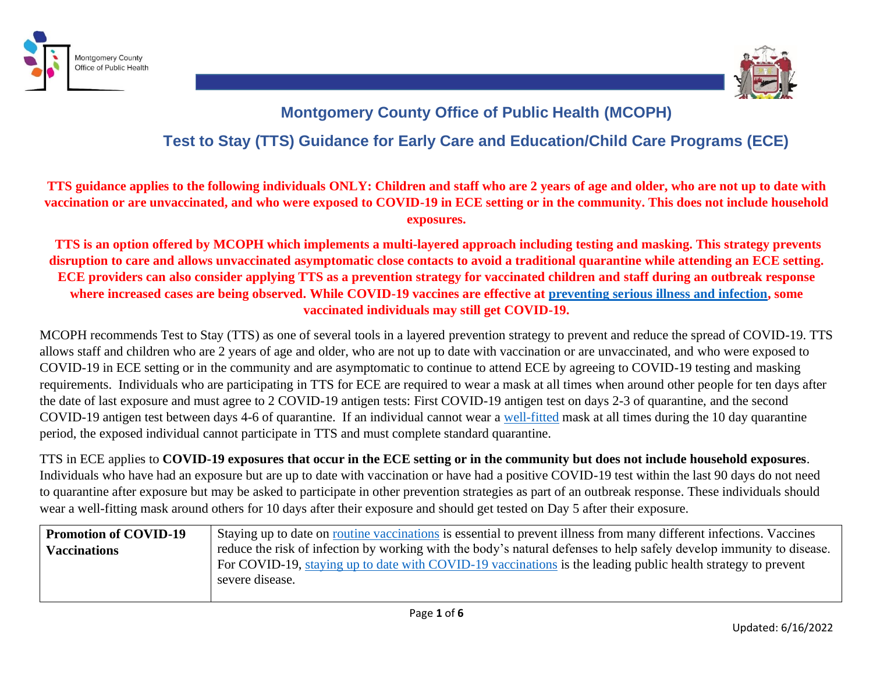



## **Montgomery County Office of Public Health (MCOPH) Test to Stay (TTS) Guidance for Early Care and Education/Child Care Programs (ECE)**

## **TTS guidance applies to the following individuals ONLY: Children and staff who are 2 years of age and older, who are not up to date with vaccination or are unvaccinated, and who were exposed to COVID-19 in ECE setting or in the community. This does not include household exposures.**

**TTS is an option offered by MCOPH which implements a multi-layered approach including testing and masking. This strategy prevents disruption to care and allows unvaccinated asymptomatic close contacts to avoid a traditional quarantine while attending an ECE setting. ECE providers can also consider applying TTS as a prevention strategy for vaccinated children and staff during an outbreak response where increased cases are being observed. While COVID-19 vaccines are effective at [preventing serious illness and infection,](https://www.cdc.gov/coronavirus/2019-ncov/vaccines/effectiveness/why-measure-effectiveness/breakthrough-cases.html#:~:text=Most%20people%20who%20get%20COVID,a%20%E2%80%9Cvaccine%20breakthrough%20infection.%E2%80%9D) some vaccinated individuals may still get COVID-19.**

MCOPH recommends Test to Stay (TTS) as one of several tools in a layered prevention strategy to prevent and reduce the spread of COVID-19. TTS allows staff and children who are 2 years of age and older, who are not up to date with vaccination or are unvaccinated, and who were exposed to COVID-19 in ECE setting or in the community and are asymptomatic to continue to attend ECE by agreeing to COVID-19 testing and masking requirements. Individuals who are participating in TTS for ECE are required to wear a mask at all times when around other people for ten days after the date of last exposure and must agree to 2 COVID-19 antigen tests: First COVID-19 antigen test on days 2-3 of quarantine, and the second COVID-19 antigen test between days 4-6 of quarantine. If an individual cannot wear a [well-fitted](https://www.cdc.gov/coronavirus/2019-ncov/prevent-getting-sick/about-face-coverings.html) mask at all times during the 10 day quarantine period, the exposed individual cannot participate in TTS and must complete standard quarantine.

TTS in ECE applies to **COVID-19 exposures that occur in the ECE setting or in the community but does not include household exposures**. Individuals who have had an exposure but are up to date with vaccination or have had a positive COVID-19 test within the last 90 days do not need to quarantine after exposure but may be asked to participate in other prevention strategies as part of an outbreak response. These individuals should wear a well-fitting mask around others for 10 days after their exposure and should get tested on Day 5 after their exposure.

| <b>Promotion of COVID-19</b> | Staying up to date on routine vaccinations is essential to prevent illness from many different infections. Vaccines  |
|------------------------------|----------------------------------------------------------------------------------------------------------------------|
| <b>Vaccinations</b>          | reduce the risk of infection by working with the body's natural defenses to help safely develop immunity to disease. |
|                              | For COVID-19, staying up to date with COVID-19 vaccinations is the leading public health strategy to prevent         |
|                              | severe disease.                                                                                                      |
|                              |                                                                                                                      |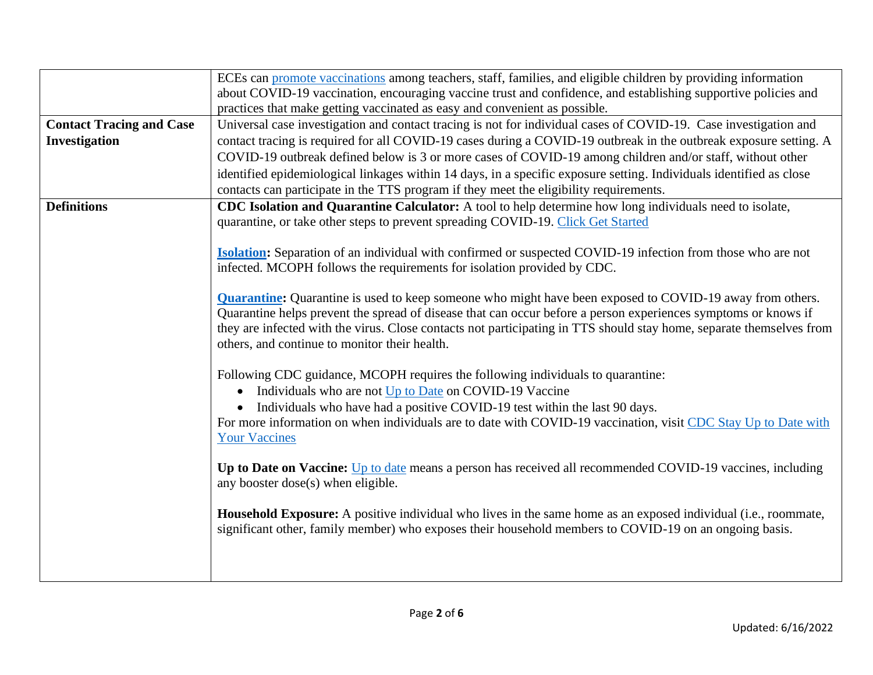|                                 | ECEs can promote vaccinations among teachers, staff, families, and eligible children by providing information        |
|---------------------------------|----------------------------------------------------------------------------------------------------------------------|
|                                 | about COVID-19 vaccination, encouraging vaccine trust and confidence, and establishing supportive policies and       |
|                                 | practices that make getting vaccinated as easy and convenient as possible.                                           |
| <b>Contact Tracing and Case</b> | Universal case investigation and contact tracing is not for individual cases of COVID-19. Case investigation and     |
| Investigation                   | contact tracing is required for all COVID-19 cases during a COVID-19 outbreak in the outbreak exposure setting. A    |
|                                 | COVID-19 outbreak defined below is 3 or more cases of COVID-19 among children and/or staff, without other            |
|                                 |                                                                                                                      |
|                                 | identified epidemiological linkages within 14 days, in a specific exposure setting. Individuals identified as close  |
|                                 | contacts can participate in the TTS program if they meet the eligibility requirements.                               |
| <b>Definitions</b>              | CDC Isolation and Quarantine Calculator: A tool to help determine how long individuals need to isolate,              |
|                                 | quarantine, or take other steps to prevent spreading COVID-19. Click Get Started                                     |
|                                 |                                                                                                                      |
|                                 | <b>Isolation:</b> Separation of an individual with confirmed or suspected COVID-19 infection from those who are not  |
|                                 | infected. MCOPH follows the requirements for isolation provided by CDC.                                              |
|                                 |                                                                                                                      |
|                                 | <b>Quarantine:</b> Quarantine is used to keep someone who might have been exposed to COVID-19 away from others.      |
|                                 | Quarantine helps prevent the spread of disease that can occur before a person experiences symptoms or knows if       |
|                                 | they are infected with the virus. Close contacts not participating in TTS should stay home, separate themselves from |
|                                 | others, and continue to monitor their health.                                                                        |
|                                 |                                                                                                                      |
|                                 | Following CDC guidance, MCOPH requires the following individuals to quarantine:                                      |
|                                 | Individuals who are not Up to Date on COVID-19 Vaccine                                                               |
|                                 | Individuals who have had a positive COVID-19 test within the last 90 days.                                           |
|                                 | For more information on when individuals are to date with COVID-19 vaccination, visit CDC Stay Up to Date with       |
|                                 | <b>Your Vaccines</b>                                                                                                 |
|                                 |                                                                                                                      |
|                                 | Up to Date on Vaccine: Up to date means a person has received all recommended COVID-19 vaccines, including           |
|                                 | any booster dose(s) when eligible.                                                                                   |
|                                 |                                                                                                                      |
|                                 | Household Exposure: A positive individual who lives in the same home as an exposed individual (i.e., roommate,       |
|                                 | significant other, family member) who exposes their household members to COVID-19 on an ongoing basis.               |
|                                 |                                                                                                                      |
|                                 |                                                                                                                      |
|                                 |                                                                                                                      |
|                                 |                                                                                                                      |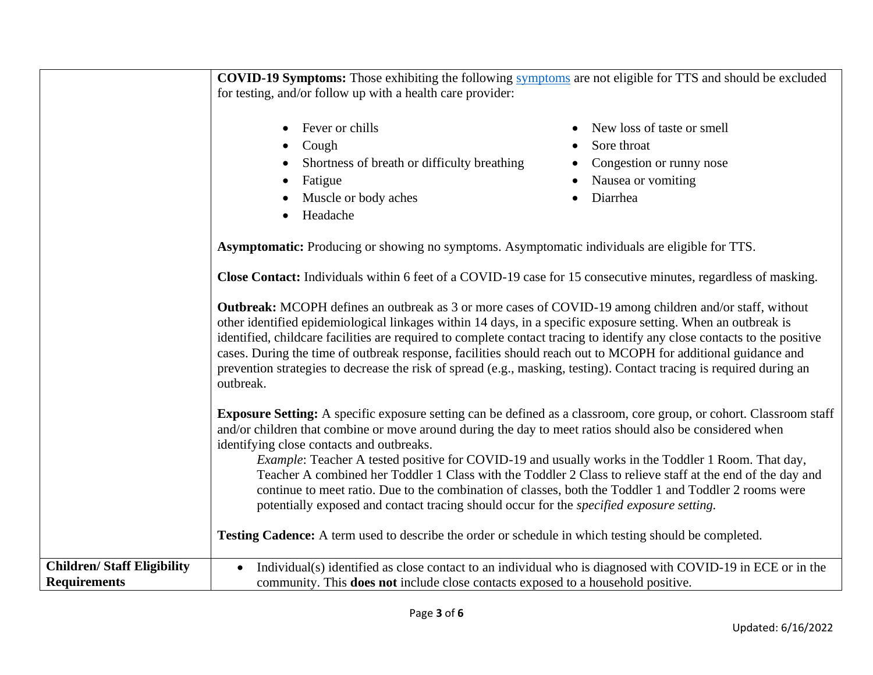|                                   | <b>COVID-19 Symptoms:</b> Those exhibiting the following symptoms are not eligible for TTS and should be excluded                                                                                                                                                                                                                                                                                                                                                                                                                                                                                                                                                                                                                                                                                                                            |                                                                                                         |
|-----------------------------------|----------------------------------------------------------------------------------------------------------------------------------------------------------------------------------------------------------------------------------------------------------------------------------------------------------------------------------------------------------------------------------------------------------------------------------------------------------------------------------------------------------------------------------------------------------------------------------------------------------------------------------------------------------------------------------------------------------------------------------------------------------------------------------------------------------------------------------------------|---------------------------------------------------------------------------------------------------------|
|                                   | for testing, and/or follow up with a health care provider:                                                                                                                                                                                                                                                                                                                                                                                                                                                                                                                                                                                                                                                                                                                                                                                   |                                                                                                         |
|                                   | Fever or chills<br>$\bullet$<br>Cough<br>Shortness of breath or difficulty breathing<br>Fatigue<br>Muscle or body aches<br>Headache                                                                                                                                                                                                                                                                                                                                                                                                                                                                                                                                                                                                                                                                                                          | New loss of taste or smell<br>Sore throat<br>Congestion or runny nose<br>Nausea or vomiting<br>Diarrhea |
|                                   | Asymptomatic: Producing or showing no symptoms. Asymptomatic individuals are eligible for TTS.<br>Close Contact: Individuals within 6 feet of a COVID-19 case for 15 consecutive minutes, regardless of masking.<br><b>Outbreak:</b> MCOPH defines an outbreak as 3 or more cases of COVID-19 among children and/or staff, without<br>other identified epidemiological linkages within 14 days, in a specific exposure setting. When an outbreak is<br>identified, childcare facilities are required to complete contact tracing to identify any close contacts to the positive<br>cases. During the time of outbreak response, facilities should reach out to MCOPH for additional guidance and<br>prevention strategies to decrease the risk of spread (e.g., masking, testing). Contact tracing is required during an<br>outbreak.        |                                                                                                         |
|                                   |                                                                                                                                                                                                                                                                                                                                                                                                                                                                                                                                                                                                                                                                                                                                                                                                                                              |                                                                                                         |
|                                   |                                                                                                                                                                                                                                                                                                                                                                                                                                                                                                                                                                                                                                                                                                                                                                                                                                              |                                                                                                         |
|                                   | <b>Exposure Setting:</b> A specific exposure setting can be defined as a classroom, core group, or cohort. Classroom staff<br>and/or children that combine or move around during the day to meet ratios should also be considered when<br>identifying close contacts and outbreaks.<br><i>Example</i> : Teacher A tested positive for COVID-19 and usually works in the Toddler 1 Room. That day,<br>Teacher A combined her Toddler 1 Class with the Toddler 2 Class to relieve staff at the end of the day and<br>continue to meet ratio. Due to the combination of classes, both the Toddler 1 and Toddler 2 rooms were<br>potentially exposed and contact tracing should occur for the <i>specified exposure setting</i> .<br><b>Testing Cadence:</b> A term used to describe the order or schedule in which testing should be completed. |                                                                                                         |
|                                   |                                                                                                                                                                                                                                                                                                                                                                                                                                                                                                                                                                                                                                                                                                                                                                                                                                              |                                                                                                         |
| <b>Children/Staff Eligibility</b> | Individual(s) identified as close contact to an individual who is diagnosed with COVID-19 in ECE or in the<br>$\bullet$                                                                                                                                                                                                                                                                                                                                                                                                                                                                                                                                                                                                                                                                                                                      |                                                                                                         |
| <b>Requirements</b>               | community. This <b>does not</b> include close contacts exposed to a household positive.                                                                                                                                                                                                                                                                                                                                                                                                                                                                                                                                                                                                                                                                                                                                                      |                                                                                                         |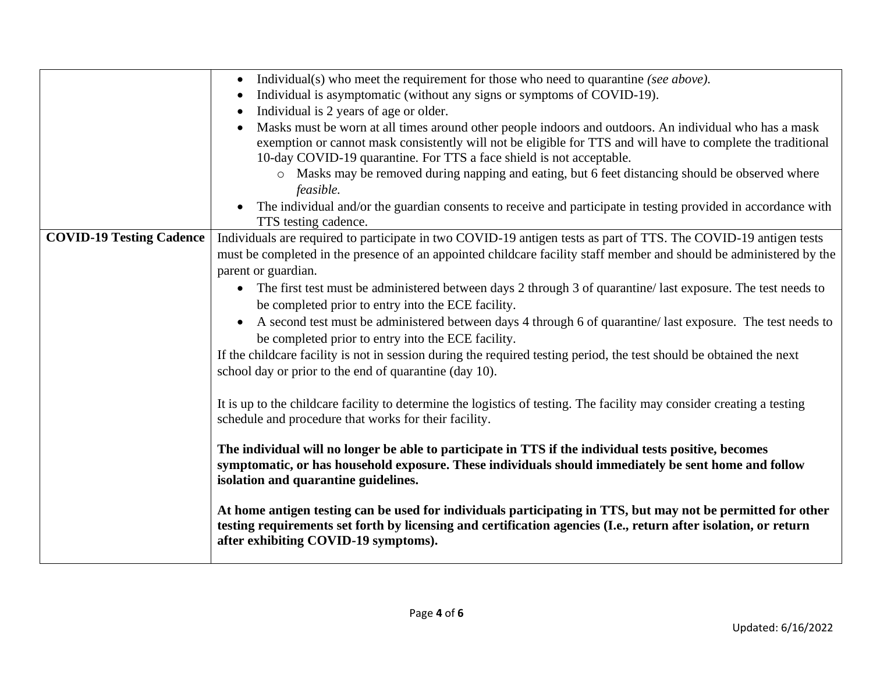|                                 | Individual(s) who meet the requirement for those who need to quarantine (see above).                                    |
|---------------------------------|-------------------------------------------------------------------------------------------------------------------------|
|                                 | Individual is asymptomatic (without any signs or symptoms of COVID-19).                                                 |
|                                 | Individual is 2 years of age or older.                                                                                  |
|                                 | Masks must be worn at all times around other people indoors and outdoors. An individual who has a mask                  |
|                                 | exemption or cannot mask consistently will not be eligible for TTS and will have to complete the traditional            |
|                                 | 10-day COVID-19 quarantine. For TTS a face shield is not acceptable.                                                    |
|                                 | o Masks may be removed during napping and eating, but 6 feet distancing should be observed where                        |
|                                 | feasible.                                                                                                               |
|                                 | The individual and/or the guardian consents to receive and participate in testing provided in accordance with           |
|                                 | TTS testing cadence.                                                                                                    |
| <b>COVID-19 Testing Cadence</b> | Individuals are required to participate in two COVID-19 antigen tests as part of TTS. The COVID-19 antigen tests        |
|                                 | must be completed in the presence of an appointed childcare facility staff member and should be administered by the     |
|                                 | parent or guardian.                                                                                                     |
|                                 | The first test must be administered between days 2 through 3 of quarantine/last exposure. The test needs to             |
|                                 | be completed prior to entry into the ECE facility.                                                                      |
|                                 | A second test must be administered between days 4 through 6 of quarantine/last exposure. The test needs to<br>$\bullet$ |
|                                 | be completed prior to entry into the ECE facility.                                                                      |
|                                 | If the childcare facility is not in session during the required testing period, the test should be obtained the next    |
|                                 | school day or prior to the end of quarantine (day 10).                                                                  |
|                                 |                                                                                                                         |
|                                 | It is up to the childcare facility to determine the logistics of testing. The facility may consider creating a testing  |
|                                 | schedule and procedure that works for their facility.                                                                   |
|                                 |                                                                                                                         |
|                                 | The individual will no longer be able to participate in TTS if the individual tests positive, becomes                   |
|                                 | symptomatic, or has household exposure. These individuals should immediately be sent home and follow                    |
|                                 | isolation and quarantine guidelines.                                                                                    |
|                                 |                                                                                                                         |
|                                 | At home antigen testing can be used for individuals participating in TTS, but may not be permitted for other            |
|                                 | testing requirements set forth by licensing and certification agencies (I.e., return after isolation, or return         |
|                                 | after exhibiting COVID-19 symptoms).                                                                                    |
|                                 |                                                                                                                         |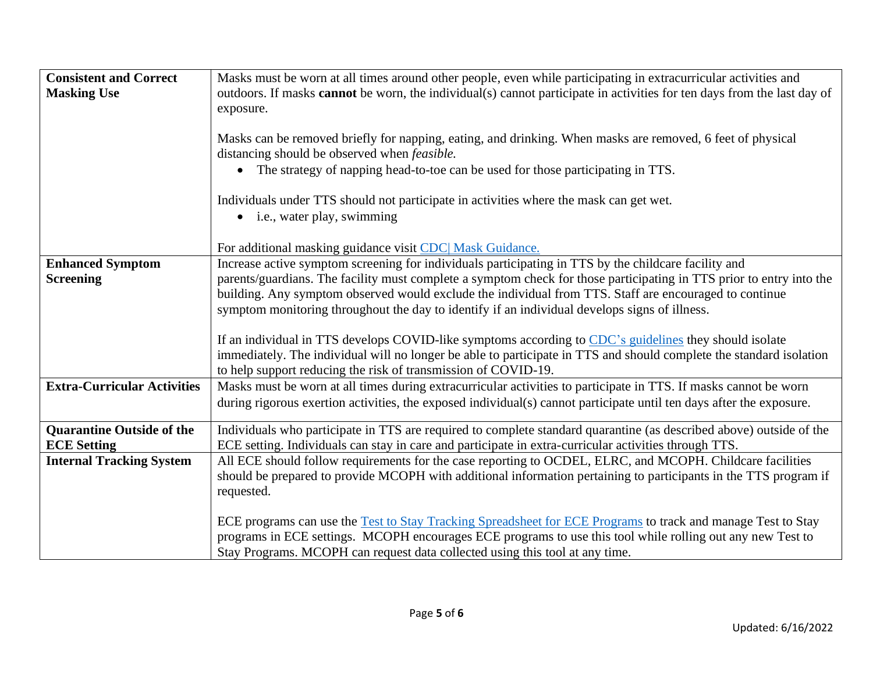| <b>Consistent and Correct</b><br><b>Masking Use</b> | Masks must be worn at all times around other people, even while participating in extracurricular activities and<br>outdoors. If masks <b>cannot</b> be worn, the individual(s) cannot participate in activities for ten days from the last day of<br>exposure.                                             |
|-----------------------------------------------------|------------------------------------------------------------------------------------------------------------------------------------------------------------------------------------------------------------------------------------------------------------------------------------------------------------|
|                                                     | Masks can be removed briefly for napping, eating, and drinking. When masks are removed, 6 feet of physical<br>distancing should be observed when <i>feasible</i> .                                                                                                                                         |
|                                                     | • The strategy of napping head-to-toe can be used for those participating in TTS.                                                                                                                                                                                                                          |
|                                                     | Individuals under TTS should not participate in activities where the mask can get wet.<br>• i.e., water play, swimming                                                                                                                                                                                     |
|                                                     | For additional masking guidance visit CDC Mask Guidance.                                                                                                                                                                                                                                                   |
| <b>Enhanced Symptom</b>                             | Increase active symptom screening for individuals participating in TTS by the childcare facility and                                                                                                                                                                                                       |
| <b>Screening</b>                                    | parents/guardians. The facility must complete a symptom check for those participating in TTS prior to entry into the                                                                                                                                                                                       |
|                                                     | building. Any symptom observed would exclude the individual from TTS. Staff are encouraged to continue<br>symptom monitoring throughout the day to identify if an individual develops signs of illness.                                                                                                    |
|                                                     |                                                                                                                                                                                                                                                                                                            |
|                                                     | If an individual in TTS develops COVID-like symptoms according to CDC's guidelines they should isolate                                                                                                                                                                                                     |
|                                                     | immediately. The individual will no longer be able to participate in TTS and should complete the standard isolation<br>to help support reducing the risk of transmission of COVID-19.                                                                                                                      |
| <b>Extra-Curricular Activities</b>                  | Masks must be worn at all times during extracurricular activities to participate in TTS. If masks cannot be worn                                                                                                                                                                                           |
|                                                     | during rigorous exertion activities, the exposed individual(s) cannot participate until ten days after the exposure.                                                                                                                                                                                       |
| <b>Quarantine Outside of the</b>                    | Individuals who participate in TTS are required to complete standard quarantine (as described above) outside of the                                                                                                                                                                                        |
| <b>ECE Setting</b>                                  | ECE setting. Individuals can stay in care and participate in extra-curricular activities through TTS.                                                                                                                                                                                                      |
| <b>Internal Tracking System</b>                     | All ECE should follow requirements for the case reporting to OCDEL, ELRC, and MCOPH. Childcare facilities                                                                                                                                                                                                  |
|                                                     | should be prepared to provide MCOPH with additional information pertaining to participants in the TTS program if<br>requested.                                                                                                                                                                             |
|                                                     | ECE programs can use the Test to Stay Tracking Spreadsheet for ECE Programs to track and manage Test to Stay<br>programs in ECE settings. MCOPH encourages ECE programs to use this tool while rolling out any new Test to<br>Stay Programs. MCOPH can request data collected using this tool at any time. |
|                                                     |                                                                                                                                                                                                                                                                                                            |